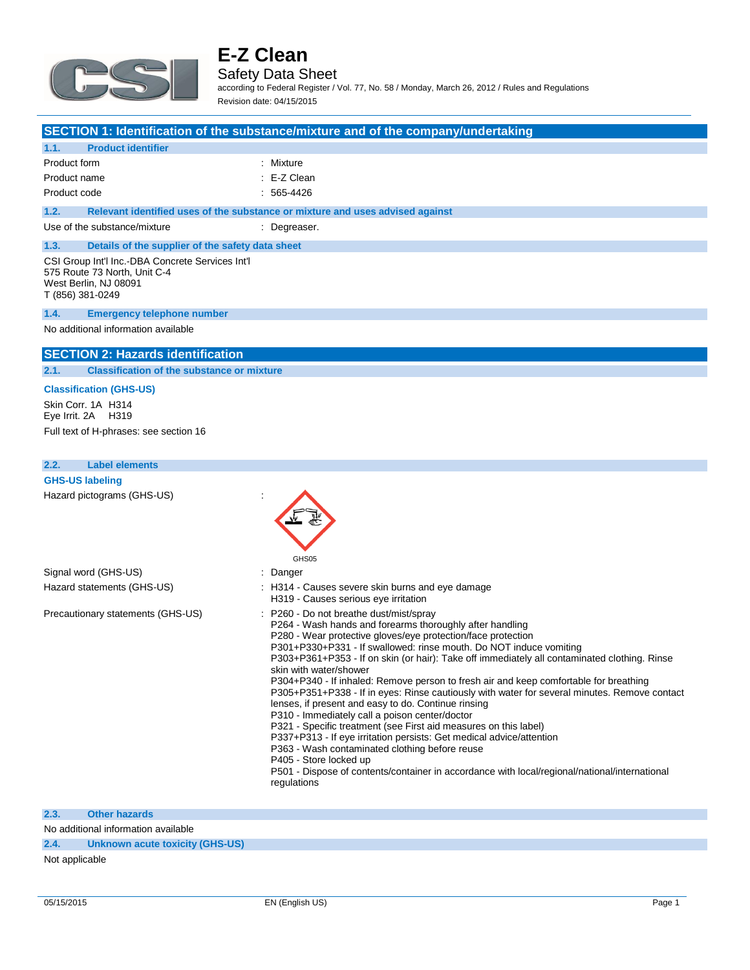

### Safety Data Sheet

according to Federal Register / Vol. 77, No. 58 / Monday, March 26, 2012 / Rules and Regulations Revision date: 04/15/2015

|                                                                                                                               | SECTION 1: Identification of the substance/mixture and of the company/undertaking |
|-------------------------------------------------------------------------------------------------------------------------------|-----------------------------------------------------------------------------------|
| 1.1.<br><b>Product identifier</b>                                                                                             |                                                                                   |
| Product form                                                                                                                  | : Mixture                                                                         |
| Product name                                                                                                                  | $E-Z$ Clean                                                                       |
| Product code                                                                                                                  | $: 565-4426$                                                                      |
| 1.2.                                                                                                                          | Relevant identified uses of the substance or mixture and uses advised against     |
| Use of the substance/mixture                                                                                                  | : Degreaser.                                                                      |
| 1.3.<br>Details of the supplier of the safety data sheet                                                                      |                                                                                   |
| CSI Group Int'l Inc.-DBA Concrete Services Int'l<br>575 Route 73 North, Unit C-4<br>West Berlin, NJ 08091<br>T (856) 381-0249 |                                                                                   |
| 1.4.<br><b>Emergency telephone number</b>                                                                                     |                                                                                   |
| No additional information available                                                                                           |                                                                                   |
| <b>SECTION 2: Hazards identification</b>                                                                                      |                                                                                   |
| 2.1.<br><b>Classification of the substance or mixture</b>                                                                     |                                                                                   |
| <b>Classification (GHS-US)</b>                                                                                                |                                                                                   |
| Skin Corr. 1A H314<br>Eye Irrit. 2A H319                                                                                      |                                                                                   |
| Full text of H-phrases: see section 16                                                                                        |                                                                                   |
|                                                                                                                               |                                                                                   |
| <b>Label elements</b><br>2.2.                                                                                                 |                                                                                   |
| <b>GHS-US labeling</b>                                                                                                        |                                                                                   |
| Hazard pictograms (GHS-US)                                                                                                    |                                                                                   |

|                                   | GHS05                                                                                                                                                                                                                                                                                                                                                                                                                                                                                                                                                                                                                                                                                                                                                                                                                                                                                                                                                                                                                    |
|-----------------------------------|--------------------------------------------------------------------------------------------------------------------------------------------------------------------------------------------------------------------------------------------------------------------------------------------------------------------------------------------------------------------------------------------------------------------------------------------------------------------------------------------------------------------------------------------------------------------------------------------------------------------------------------------------------------------------------------------------------------------------------------------------------------------------------------------------------------------------------------------------------------------------------------------------------------------------------------------------------------------------------------------------------------------------|
| Signal word (GHS-US)              | $:$ Danger                                                                                                                                                                                                                                                                                                                                                                                                                                                                                                                                                                                                                                                                                                                                                                                                                                                                                                                                                                                                               |
| Hazard statements (GHS-US)        | : H314 - Causes severe skin burns and eye damage<br>H319 - Causes serious eye irritation                                                                                                                                                                                                                                                                                                                                                                                                                                                                                                                                                                                                                                                                                                                                                                                                                                                                                                                                 |
| Precautionary statements (GHS-US) | $\therefore$ P260 - Do not breathe dust/mist/spray<br>P264 - Wash hands and forearms thoroughly after handling<br>P280 - Wear protective gloves/eye protection/face protection<br>P301+P330+P331 - If swallowed: rinse mouth. Do NOT induce vomiting<br>P303+P361+P353 - If on skin (or hair): Take off immediately all contaminated clothing. Rinse<br>skin with water/shower<br>P304+P340 - If inhaled: Remove person to fresh air and keep comfortable for breathing<br>P305+P351+P338 - If in eyes: Rinse cautiously with water for several minutes. Remove contact<br>lenses, if present and easy to do. Continue rinsing<br>P310 - Immediately call a poison center/doctor<br>P321 - Specific treatment (see First aid measures on this label)<br>P337+P313 - If eye irritation persists: Get medical advice/attention<br>P363 - Wash contaminated clothing before reuse<br>P405 - Store locked up<br>P501 - Dispose of contents/container in accordance with local/regional/national/international<br>regulations |

 $\overline{\phantom{a}}$ 

### **2.3. Other hazards**

No additional information available

### **2.4. Unknown acute toxicity (GHS-US)**

Not applicable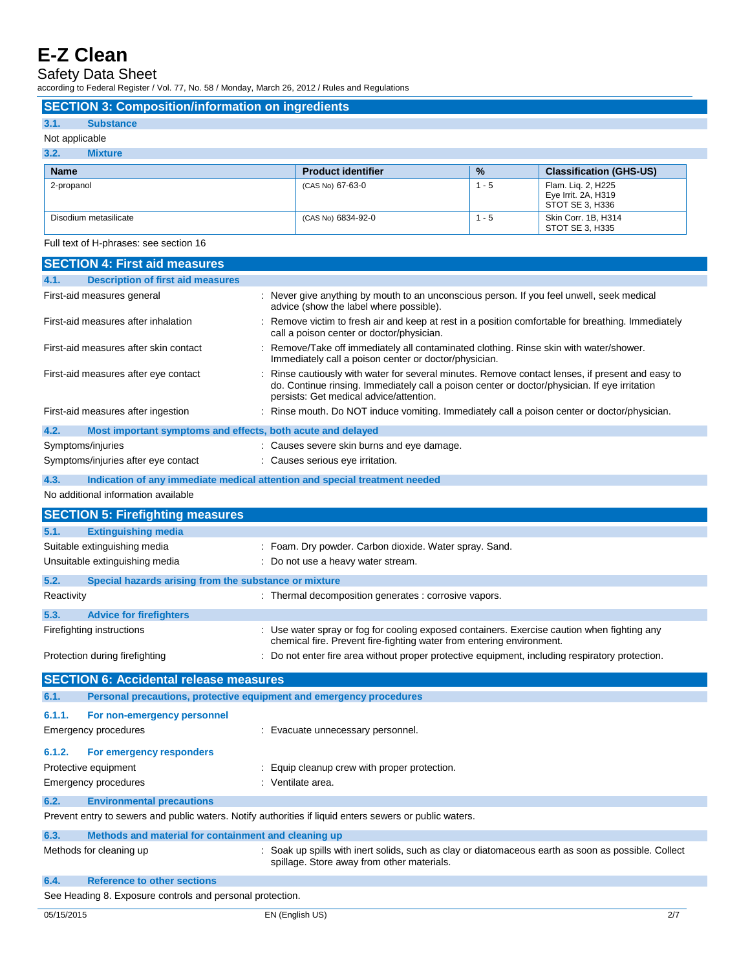J

Safety Data Sheet

according to Federal Register / Vol. 77, No. 58 / Monday, March 26, 2012 / Rules and Regulations

|                | <b>SECTION 3: Composition/information on ingredients</b> |                           |               |                                                              |
|----------------|----------------------------------------------------------|---------------------------|---------------|--------------------------------------------------------------|
| 3.1.           | <b>Substance</b>                                         |                           |               |                                                              |
| Not applicable |                                                          |                           |               |                                                              |
| 3.2.           | <b>Mixture</b>                                           |                           |               |                                                              |
| <b>Name</b>    |                                                          | <b>Product identifier</b> | $\frac{9}{6}$ | <b>Classification (GHS-US)</b>                               |
| 2-propanol     |                                                          | (CAS No) 67-63-0          | $1 - 5$       | Flam. Lig. 2, H225<br>Eye Irrit. 2A, H319<br>STOT SE 3, H336 |
|                | Disodium metasilicate                                    | (CAS No) 6834-92-0        | $1 - 5$       | Skin Corr. 1B, H314<br>STOT SE 3, H335                       |

Full text of H-phrases: see section 16

| <b>SECTION 4: First aid measures</b>                                        |                                                                                                                                                                                                                                              |
|-----------------------------------------------------------------------------|----------------------------------------------------------------------------------------------------------------------------------------------------------------------------------------------------------------------------------------------|
| <b>Description of first aid measures</b><br>4.1.                            |                                                                                                                                                                                                                                              |
| First-aid measures general                                                  | : Never give anything by mouth to an unconscious person. If you feel unwell, seek medical<br>advice (show the label where possible).                                                                                                         |
| First-aid measures after inhalation                                         | : Remove victim to fresh air and keep at rest in a position comfortable for breathing. Immediately<br>call a poison center or doctor/physician.                                                                                              |
| First-aid measures after skin contact                                       | : Remove/Take off immediately all contaminated clothing. Rinse skin with water/shower.<br>Immediately call a poison center or doctor/physician.                                                                                              |
| First-aid measures after eye contact                                        | : Rinse cautiously with water for several minutes. Remove contact lenses, if present and easy to<br>do. Continue rinsing. Immediately call a poison center or doctor/physician. If eye irritation<br>persists: Get medical advice/attention. |
| First-aid measures after ingestion                                          | : Rinse mouth. Do NOT induce vomiting. Immediately call a poison center or doctor/physician.                                                                                                                                                 |
| 4.2.<br>Most important symptoms and effects, both acute and delayed         |                                                                                                                                                                                                                                              |
| Symptoms/injuries                                                           | : Causes severe skin burns and eye damage.                                                                                                                                                                                                   |
| Symptoms/injuries after eye contact                                         | : Causes serious eye irritation.                                                                                                                                                                                                             |
| 4.3.                                                                        | Indication of any immediate medical attention and special treatment needed                                                                                                                                                                   |
| No additional information available                                         |                                                                                                                                                                                                                                              |
| <b>SECTION 5: Firefighting measures</b>                                     |                                                                                                                                                                                                                                              |
| 5.1.<br><b>Extinguishing media</b>                                          |                                                                                                                                                                                                                                              |
| Suitable extinguishing media                                                | : Foam. Dry powder. Carbon dioxide. Water spray. Sand.                                                                                                                                                                                       |
| Unsuitable extinguishing media                                              | : Do not use a heavy water stream.                                                                                                                                                                                                           |
| 5.2.<br>Special hazards arising from the substance or mixture               |                                                                                                                                                                                                                                              |
| Reactivity                                                                  | : Thermal decomposition generates : corrosive vapors.                                                                                                                                                                                        |
| 5.3.<br><b>Advice for firefighters</b>                                      |                                                                                                                                                                                                                                              |
| Firefighting instructions                                                   | : Use water spray or fog for cooling exposed containers. Exercise caution when fighting any<br>chemical fire. Prevent fire-fighting water from entering environment.                                                                         |
| Protection during firefighting                                              | : Do not enter fire area without proper protective equipment, including respiratory protection.                                                                                                                                              |
| <b>SECTION 6: Accidental release measures</b>                               |                                                                                                                                                                                                                                              |
| Personal precautions, protective equipment and emergency procedures<br>6.1. |                                                                                                                                                                                                                                              |
| 6.1.1.<br>For non-emergency personnel                                       |                                                                                                                                                                                                                                              |
| <b>Emergency procedures</b>                                                 | : Evacuate unnecessary personnel.                                                                                                                                                                                                            |
|                                                                             |                                                                                                                                                                                                                                              |
| 6.1.2.<br>For emergency responders                                          |                                                                                                                                                                                                                                              |
| Protective equipment                                                        | : Equip cleanup crew with proper protection.                                                                                                                                                                                                 |
| <b>Emergency procedures</b>                                                 | : Ventilate area.                                                                                                                                                                                                                            |
| 6.2.<br><b>Environmental precautions</b>                                    |                                                                                                                                                                                                                                              |
|                                                                             | Prevent entry to sewers and public waters. Notify authorities if liquid enters sewers or public waters.                                                                                                                                      |
| 6.3.<br>Methods and material for containment and cleaning up                |                                                                                                                                                                                                                                              |
| Methods for cleaning up                                                     | : Soak up spills with inert solids, such as clay or diatomaceous earth as soon as possible. Collect<br>spillage. Store away from other materials.                                                                                            |
| 6.4.<br><b>Reference to other sections</b>                                  |                                                                                                                                                                                                                                              |
| See Heading 8. Exposure controls and personal protection.                   |                                                                                                                                                                                                                                              |
| 05/15/2015                                                                  | 2/7<br>EN (English US)                                                                                                                                                                                                                       |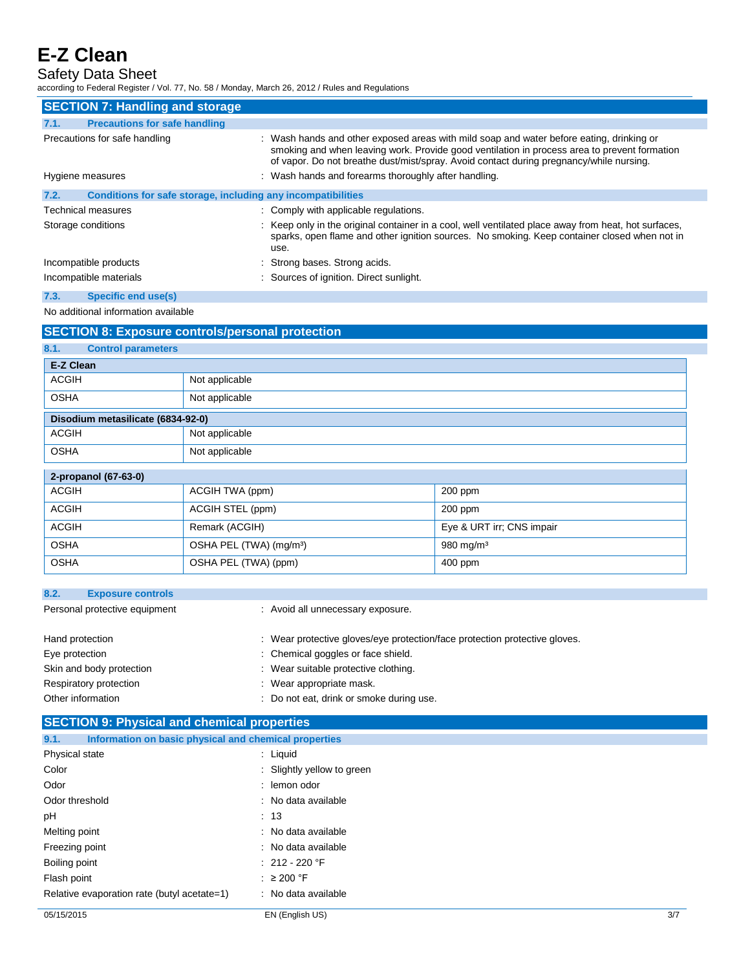Safety Data Sheet

according to Federal Register / Vol. 77, No. 58 / Monday, March 26, 2012 / Rules and Regulations

| <b>SECTION 7: Handling and storage</b>                               |                                                                                                                                                                                                                                                                                     |
|----------------------------------------------------------------------|-------------------------------------------------------------------------------------------------------------------------------------------------------------------------------------------------------------------------------------------------------------------------------------|
| <b>Precautions for safe handling</b><br>7.1.                         |                                                                                                                                                                                                                                                                                     |
| Precautions for safe handling                                        | : Wash hands and other exposed areas with mild soap and water before eating, drinking or<br>smoking and when leaving work. Provide good ventilation in process area to prevent formation<br>of vapor. Do not breathe dust/mist/spray. Avoid contact during pregnancy/while nursing. |
| Hygiene measures                                                     | : Wash hands and forearms thoroughly after handling.                                                                                                                                                                                                                                |
| 7.2.<br>Conditions for safe storage, including any incompatibilities |                                                                                                                                                                                                                                                                                     |
| Technical measures                                                   | : Comply with applicable regulations.                                                                                                                                                                                                                                               |
| Storage conditions                                                   | : Keep only in the original container in a cool, well ventilated place away from heat, hot surfaces,<br>sparks, open flame and other ignition sources. No smoking. Keep container closed when not in<br>use.                                                                        |
| Incompatible products                                                | : Strong bases. Strong acids.                                                                                                                                                                                                                                                       |
| Incompatible materials                                               | : Sources of ignition. Direct sunlight.                                                                                                                                                                                                                                             |

### **7.3. Specific end use(s)**

No additional information available

| <b>SECTION 8: Exposure controls/personal protection</b> |                                     |                           |  |
|---------------------------------------------------------|-------------------------------------|---------------------------|--|
| <b>Control parameters</b><br>8.1.                       |                                     |                           |  |
| E-Z Clean                                               |                                     |                           |  |
| <b>ACGIH</b>                                            | Not applicable                      |                           |  |
| <b>OSHA</b>                                             | Not applicable                      |                           |  |
| Disodium metasilicate (6834-92-0)                       |                                     |                           |  |
| <b>ACGIH</b>                                            | Not applicable                      |                           |  |
| <b>OSHA</b>                                             | Not applicable                      |                           |  |
| 2-propanol (67-63-0)                                    |                                     |                           |  |
| <b>ACGIH</b>                                            | ACGIH TWA (ppm)                     | 200 ppm                   |  |
| <b>ACGIH</b>                                            | ACGIH STEL (ppm)                    | 200 ppm                   |  |
| <b>ACGIH</b>                                            | Remark (ACGIH)                      | Eye & URT irr; CNS impair |  |
| <b>OSHA</b>                                             | OSHA PEL (TWA) (mg/m <sup>3</sup> ) | 980 mg/m <sup>3</sup>     |  |
| <b>OSHA</b>                                             | OSHA PEL (TWA) (ppm)                | 400 ppm                   |  |

| 8.2.<br><b>Exposure controls</b> |                                                                            |
|----------------------------------|----------------------------------------------------------------------------|
| Personal protective equipment    | : Avoid all unnecessary exposure.                                          |
|                                  |                                                                            |
| Hand protection                  | : Wear protective gloves/eye protection/face protection protective gloves. |
| Eye protection                   | : Chemical goggles or face shield.                                         |
| Skin and body protection         | : Wear suitable protective clothing.                                       |
| Respiratory protection           | : Wear appropriate mask.                                                   |
| Other information                | : Do not eat, drink or smoke during use.                                   |

## **SECTION 9: Physical and chemical properties**

| 9.1.<br>Information on basic physical and chemical properties |                            |     |
|---------------------------------------------------------------|----------------------------|-----|
| Physical state                                                | $:$ Liquid                 |     |
| Color                                                         | : Slightly yellow to green |     |
| Odor                                                          | : lemon odor               |     |
| Odor threshold                                                | : No data available        |     |
| pH                                                            | $\therefore$ 13            |     |
| Melting point                                                 | : No data available        |     |
| Freezing point                                                | : No data available        |     |
| Boiling point                                                 | $: 212 - 220$ °F           |     |
| Flash point                                                   | $\therefore$ 200 °F        |     |
| Relative evaporation rate (butyl acetate=1)                   | : No data available        |     |
| 05/15/2015                                                    | EN (English US)            | 3/7 |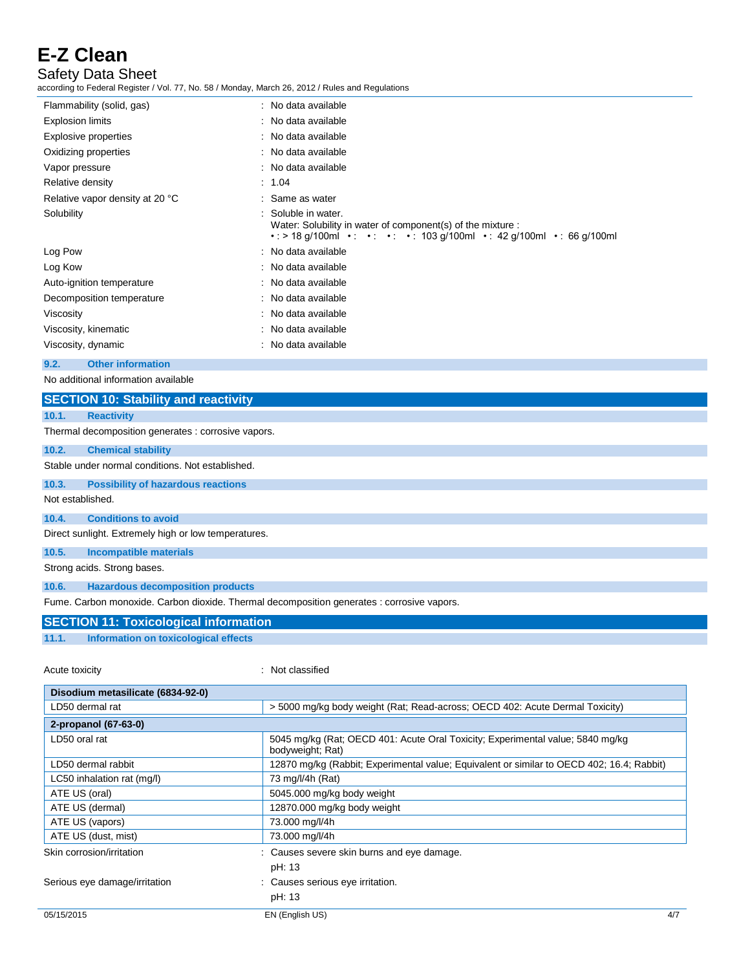Safety Data Sheet

according to Federal Register / Vol. 77, No. 58 / Monday, March 26, 2012 / Rules and Regulations

| Flammability (solid, gas)       | : No data available                                                                                                                                            |
|---------------------------------|----------------------------------------------------------------------------------------------------------------------------------------------------------------|
| <b>Explosion limits</b>         | : No data available                                                                                                                                            |
| Explosive properties            | : No data available                                                                                                                                            |
| Oxidizing properties            | : No data available                                                                                                                                            |
| Vapor pressure                  | : No data available                                                                                                                                            |
| Relative density                | : 1.04                                                                                                                                                         |
| Relative vapor density at 20 °C | : Same as water                                                                                                                                                |
| Solubility                      | : Soluble in water.<br>Water: Solubility in water of component(s) of the mixture :<br>• : > 18 g/100ml • : • : • · · 103 g/100ml • : 42 g/100ml • : 66 g/100ml |
| Log Pow                         | : No data available                                                                                                                                            |
| Log Kow                         | : No data available                                                                                                                                            |
| Auto-ignition temperature       | : No data available                                                                                                                                            |
| Decomposition temperature       | : No data available                                                                                                                                            |
| Viscosity                       | : No data available                                                                                                                                            |
| Viscosity, kinematic            | : No data available                                                                                                                                            |
| Viscosity, dynamic              | : No data available                                                                                                                                            |
|                                 |                                                                                                                                                                |

**9.2. Other information**

No additional information available

| <b>SECTION 10: Stability and reactivity</b>                                                |
|--------------------------------------------------------------------------------------------|
| <b>Reactivity</b><br>10.1.                                                                 |
| Thermal decomposition generates : corrosive vapors.                                        |
| <b>Chemical stability</b><br>10.2.                                                         |
| Stable under normal conditions. Not established.                                           |
| <b>Possibility of hazardous reactions</b><br>10.3.                                         |
| Not established.                                                                           |
| <b>Conditions to avoid</b><br>10.4.                                                        |
| Direct sunlight. Extremely high or low temperatures.                                       |
| <b>Incompatible materials</b><br>10.5.                                                     |
| Strong acids. Strong bases.                                                                |
| <b>Hazardous decomposition products</b><br>10.6.                                           |
| Fume. Carbon monoxide. Carbon dioxide. Thermal decomposition generates : corrosive vapors. |

### **SECTION 11: Toxicological information**

**11.1. Information on toxicological effects**

Acute toxicity **in the case of the contract of the contract of the contract of the contract of the contract of the contract of the contract of the contract of the contract of the contract of the contract of the contract of** 

| Disodium metasilicate (6834-92-0) |                                                                                                    |  |
|-----------------------------------|----------------------------------------------------------------------------------------------------|--|
| LD50 dermal rat                   | > 5000 mg/kg body weight (Rat; Read-across; OECD 402: Acute Dermal Toxicity)                       |  |
| 2-propanol (67-63-0)              |                                                                                                    |  |
| LD50 oral rat                     | 5045 mg/kg (Rat; OECD 401: Acute Oral Toxicity; Experimental value; 5840 mg/kg<br>bodyweight; Rat) |  |
| LD50 dermal rabbit                | 12870 mg/kg (Rabbit; Experimental value; Equivalent or similar to OECD 402; 16.4; Rabbit)          |  |
| LC50 inhalation rat (mg/l)        | 73 mg/l/4h (Rat)                                                                                   |  |
| ATE US (oral)                     | 5045.000 mg/kg body weight                                                                         |  |
| ATE US (dermal)                   | 12870.000 mg/kg body weight                                                                        |  |
| ATE US (vapors)                   | 73.000 mg/l/4h                                                                                     |  |
| ATE US (dust, mist)               | 73.000 mg/l/4h                                                                                     |  |
| Skin corrosion/irritation         | : Causes severe skin burns and eye damage.                                                         |  |
|                                   | pH: 13                                                                                             |  |
| Serious eye damage/irritation     | : Causes serious eye irritation.                                                                   |  |
|                                   | pH: 13                                                                                             |  |
| 05/15/2015                        | 4/7<br>EN (English US)                                                                             |  |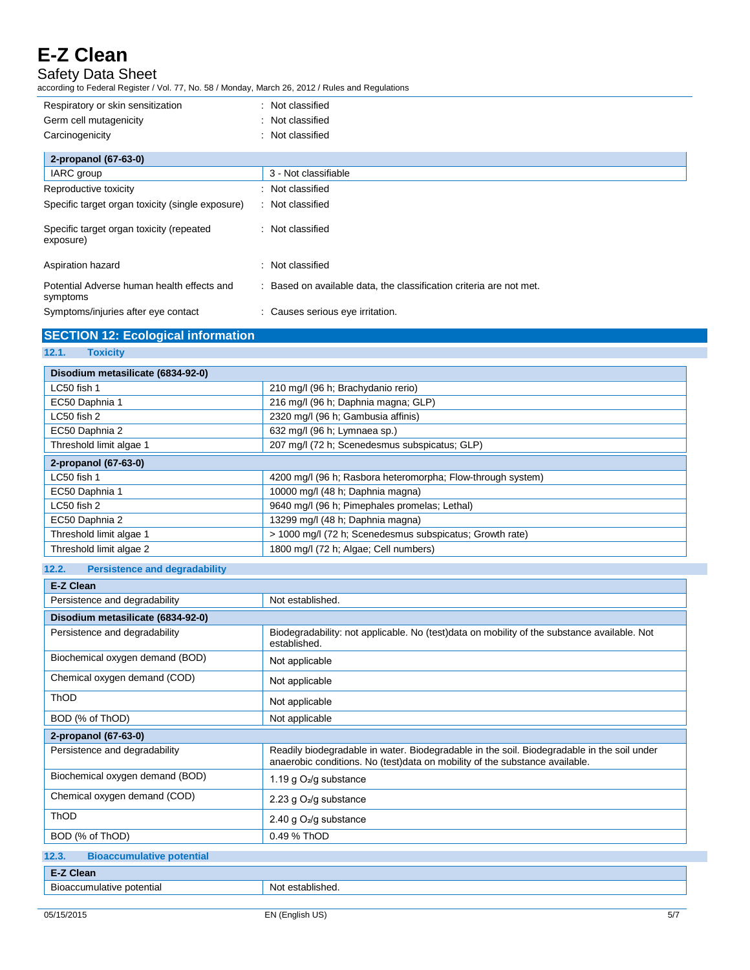Safety Data Sheet

according to Federal Register / Vol. 77, No. 58 / Monday, March 26, 2012 / Rules and Regulations

| Respiratory or skin sensitization                      | : Not classified                                                    |
|--------------------------------------------------------|---------------------------------------------------------------------|
| Germ cell mutagenicity                                 | Not classified                                                      |
| Carcinogenicity                                        | Not classified                                                      |
| 2-propanol (67-63-0)                                   |                                                                     |
| IARC group                                             | 3 - Not classifiable                                                |
| Reproductive toxicity                                  | Not classified                                                      |
| Specific target organ toxicity (single exposure)       | : Not classified                                                    |
| Specific target organ toxicity (repeated<br>exposure)  | Not classified                                                      |
| Aspiration hazard                                      | Not classified                                                      |
| Potential Adverse human health effects and<br>symptoms | : Based on available data, the classification criteria are not met. |
| Symptoms/injuries after eye contact                    | : Causes serious eye irritation.                                    |

## **SECTION 12: Ecological information**

### **12.1. Toxicity**

| Disodium metasilicate (6834-92-0) |                                                             |  |
|-----------------------------------|-------------------------------------------------------------|--|
| LC50 fish 1                       | 210 mg/l (96 h; Brachydanio rerio)                          |  |
| EC50 Daphnia 1                    | 216 mg/l (96 h; Daphnia magna; GLP)                         |  |
| LC50 fish 2                       | 2320 mg/l (96 h; Gambusia affinis)                          |  |
| EC50 Daphnia 2                    | 632 mg/l (96 h; Lymnaea sp.)                                |  |
| Threshold limit algae 1           | 207 mg/l (72 h; Scenedesmus subspicatus; GLP)               |  |
| 2-propanol (67-63-0)              |                                                             |  |
| LC50 fish 1                       | 4200 mg/l (96 h; Rasbora heteromorpha; Flow-through system) |  |
| EC50 Daphnia 1                    | 10000 mg/l (48 h; Daphnia magna)                            |  |
| LC50 fish 2                       | 9640 mg/l (96 h; Pimephales promelas; Lethal)               |  |
| EC50 Daphnia 2                    | 13299 mg/l (48 h; Daphnia magna)                            |  |
| Threshold limit algae 1           | > 1000 mg/l (72 h; Scenedesmus subspicatus; Growth rate)    |  |
| Threshold limit algae 2           | 1800 mg/l (72 h; Algae; Cell numbers)                       |  |

## **12.2. Persistence and degradability**

| E-Z Clean                                 |                                                                                                                                                                           |  |
|-------------------------------------------|---------------------------------------------------------------------------------------------------------------------------------------------------------------------------|--|
| Persistence and degradability             | Not established.                                                                                                                                                          |  |
| Disodium metasilicate (6834-92-0)         |                                                                                                                                                                           |  |
| Persistence and degradability             | Biodegradability: not applicable. No (test)data on mobility of the substance available. Not<br>established.                                                               |  |
| Biochemical oxygen demand (BOD)           | Not applicable                                                                                                                                                            |  |
| Chemical oxygen demand (COD)              | Not applicable                                                                                                                                                            |  |
| <b>ThOD</b>                               | Not applicable                                                                                                                                                            |  |
| BOD (% of ThOD)                           | Not applicable                                                                                                                                                            |  |
| 2-propanol (67-63-0)                      |                                                                                                                                                                           |  |
| Persistence and degradability             | Readily biodegradable in water. Biodegradable in the soil. Biodegradable in the soil under<br>anaerobic conditions. No (test)data on mobility of the substance available. |  |
| Biochemical oxygen demand (BOD)           | 1.19 g $O_2$ /g substance                                                                                                                                                 |  |
| Chemical oxygen demand (COD)              | 2.23 g O <sub>2</sub> /g substance                                                                                                                                        |  |
| <b>ThOD</b>                               | 2.40 g O <sub>2</sub> /g substance                                                                                                                                        |  |
| BOD (% of ThOD)                           | 0.49 % ThOD                                                                                                                                                               |  |
| <b>Bioaccumulative potential</b><br>12.3. |                                                                                                                                                                           |  |
| E-Z Clean                                 |                                                                                                                                                                           |  |
| Bioaccumulative potential                 | Not established.                                                                                                                                                          |  |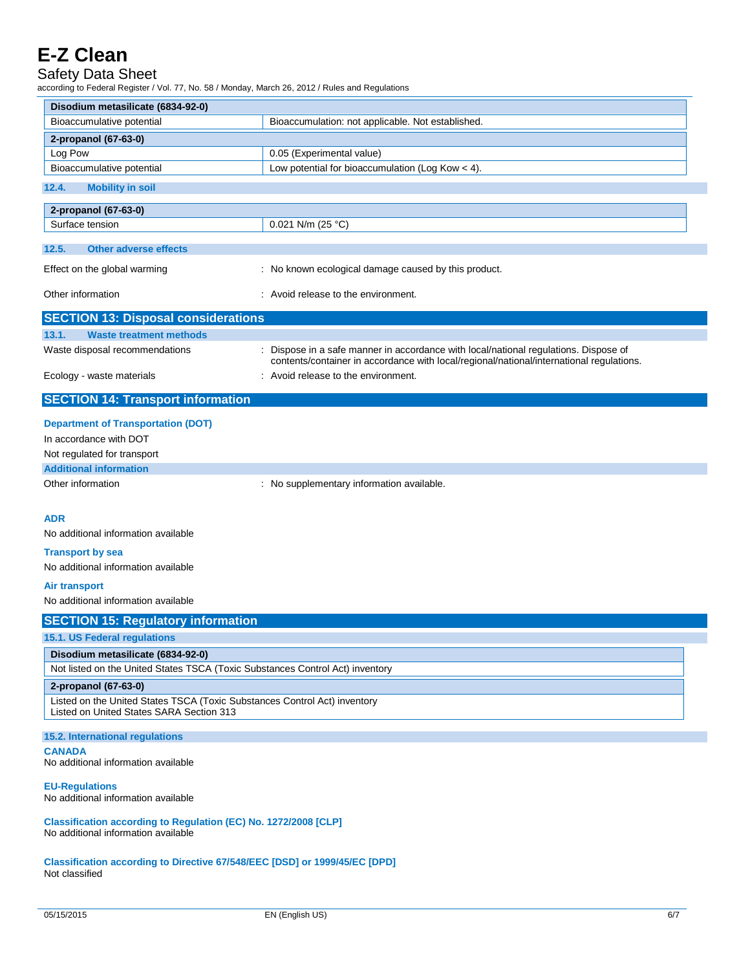## Safety Data Sheet

according to Federal Register / Vol. 77, No. 58 / Monday, March 26, 2012 / Rules and Regulations

| Disodium metasilicate (6834-92-0)                                                                                     |                                                                                          |  |
|-----------------------------------------------------------------------------------------------------------------------|------------------------------------------------------------------------------------------|--|
| Bioaccumulative potential                                                                                             | Bioaccumulation: not applicable. Not established.                                        |  |
| 2-propanol (67-63-0)                                                                                                  |                                                                                          |  |
| Log Pow                                                                                                               | 0.05 (Experimental value)                                                                |  |
| Bioaccumulative potential                                                                                             | Low potential for bioaccumulation (Log Kow $<$ 4).                                       |  |
| 12.4.<br><b>Mobility in soil</b>                                                                                      |                                                                                          |  |
| 2-propanol (67-63-0)                                                                                                  |                                                                                          |  |
| Surface tension                                                                                                       | 0.021 N/m (25 °C)                                                                        |  |
| <b>Other adverse effects</b><br>12.5.                                                                                 |                                                                                          |  |
| Effect on the global warming                                                                                          | : No known ecological damage caused by this product.                                     |  |
| Other information                                                                                                     | : Avoid release to the environment.                                                      |  |
| <b>SECTION 13: Disposal considerations</b>                                                                            |                                                                                          |  |
| 13.1.<br><b>Waste treatment methods</b>                                                                               |                                                                                          |  |
| Waste disposal recommendations                                                                                        | : Dispose in a safe manner in accordance with local/national regulations. Dispose of     |  |
|                                                                                                                       | contents/container in accordance with local/regional/national/international regulations. |  |
| Ecology - waste materials                                                                                             | : Avoid release to the environment.                                                      |  |
| <b>SECTION 14: Transport information</b>                                                                              |                                                                                          |  |
| <b>Department of Transportation (DOT)</b>                                                                             |                                                                                          |  |
| In accordance with DOT                                                                                                |                                                                                          |  |
| Not regulated for transport                                                                                           |                                                                                          |  |
| <b>Additional information</b>                                                                                         |                                                                                          |  |
| Other information                                                                                                     | : No supplementary information available.                                                |  |
|                                                                                                                       |                                                                                          |  |
| <b>ADR</b>                                                                                                            |                                                                                          |  |
| No additional information available                                                                                   |                                                                                          |  |
| <b>Transport by sea</b>                                                                                               |                                                                                          |  |
| No additional information available                                                                                   |                                                                                          |  |
|                                                                                                                       |                                                                                          |  |
| <b>Air transport</b>                                                                                                  |                                                                                          |  |
| No additional information available                                                                                   |                                                                                          |  |
| <b>SECTION 15: Regulatory information</b>                                                                             |                                                                                          |  |
| <b>15.1. US Federal regulations</b>                                                                                   |                                                                                          |  |
| Disodium metasilicate (6834-92-0)                                                                                     |                                                                                          |  |
| Not listed on the United States TSCA (Toxic Substances Control Act) inventory                                         |                                                                                          |  |
| 2-propanol (67-63-0)                                                                                                  |                                                                                          |  |
| Listed on the United States TSCA (Toxic Substances Control Act) inventory<br>Listed on United States SARA Section 313 |                                                                                          |  |
| 15.2. International regulations                                                                                       |                                                                                          |  |
| <b>CANADA</b><br>No additional information available                                                                  |                                                                                          |  |
| <b>EU-Regulations</b><br>No additional information available                                                          |                                                                                          |  |
| Classification according to Regulation (EC) No. 1272/2008 [CLP]<br>No additional information available                |                                                                                          |  |
| Classification according to Directive 67/548/EEC [DSD] or 1999/45/EC [DPD]<br>Not classified                          |                                                                                          |  |